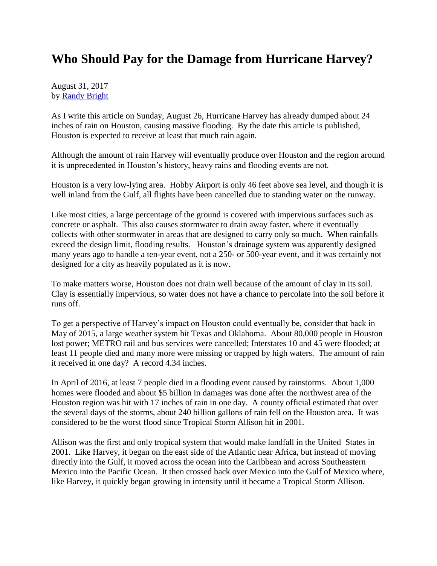## **Who Should Pay for the Damage from Hurricane Harvey?**

August 31, 2017 by [Randy Bright](http://tulsabeacon.com/writers/randy-bright/)

As I write this article on Sunday, August 26, Hurricane Harvey has already dumped about 24 inches of rain on Houston, causing massive flooding. By the date this article is published, Houston is expected to receive at least that much rain again.

Although the amount of rain Harvey will eventually produce over Houston and the region around it is unprecedented in Houston's history, heavy rains and flooding events are not.

Houston is a very low-lying area. Hobby Airport is only 46 feet above sea level, and though it is well inland from the Gulf, all flights have been cancelled due to standing water on the runway.

Like most cities, a large percentage of the ground is covered with impervious surfaces such as concrete or asphalt. This also causes stormwater to drain away faster, where it eventually collects with other stormwater in areas that are designed to carry only so much. When rainfalls exceed the design limit, flooding results. Houston's drainage system was apparently designed many years ago to handle a ten-year event, not a 250- or 500-year event, and it was certainly not designed for a city as heavily populated as it is now.

To make matters worse, Houston does not drain well because of the amount of clay in its soil. Clay is essentially impervious, so water does not have a chance to percolate into the soil before it runs off.

To get a perspective of Harvey's impact on Houston could eventually be, consider that back in May of 2015, a large weather system hit Texas and Oklahoma. About 80,000 people in Houston lost power; METRO rail and bus services were cancelled; Interstates 10 and 45 were flooded; at least 11 people died and many more were missing or trapped by high waters. The amount of rain it received in one day? A record 4.34 inches.

In April of 2016, at least 7 people died in a flooding event caused by rainstorms. About 1,000 homes were flooded and about \$5 billion in damages was done after the northwest area of the Houston region was hit with 17 inches of rain in one day. A county official estimated that over the several days of the storms, about 240 billion gallons of rain fell on the Houston area. It was considered to be the worst flood since Tropical Storm Allison hit in 2001.

Allison was the first and only tropical system that would make landfall in the United States in 2001. Like Harvey, it began on the east side of the Atlantic near Africa, but instead of moving directly into the Gulf, it moved across the ocean into the Caribbean and across Southeastern Mexico into the Pacific Ocean. It then crossed back over Mexico into the Gulf of Mexico where, like Harvey, it quickly began growing in intensity until it became a Tropical Storm Allison.